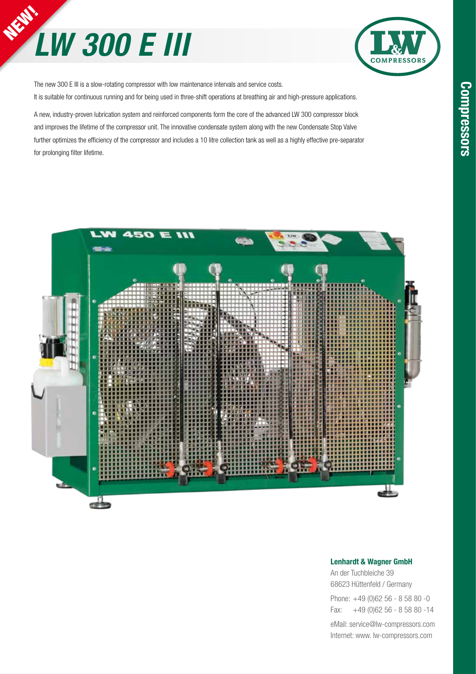## **NEW!** *LW 300 E III*



The new 300 E III is a slow-rotating compressor with low maintenance intervals and service costs. It is suitable for continuous running and for being used in three-shift operations at breathing air and high-pressure applications.

A new, industry-proven lubrication system and reinforced components form the core of the advanced LW 300 compressor block and improves the lifetime of the compressor unit. The innovative condensate system along with the new Condensate Stop Valve further optimizes the efficiency of the compressor and includes a 10 litre collection tank as well as a highly effective pre-separator for prolonging filter lifetime.



#### Lenhardt & Wagner GmbH

An der Tuchbleiche 39 68623 Hüttenfeld / Germany

Phone: +49 (0)62 56 - 8 58 80 -0 Fax: +49 (0)62 56 - 8 58 80 -14

eMail: service@lw-compressors.com Internet: www. lw-compressors.com